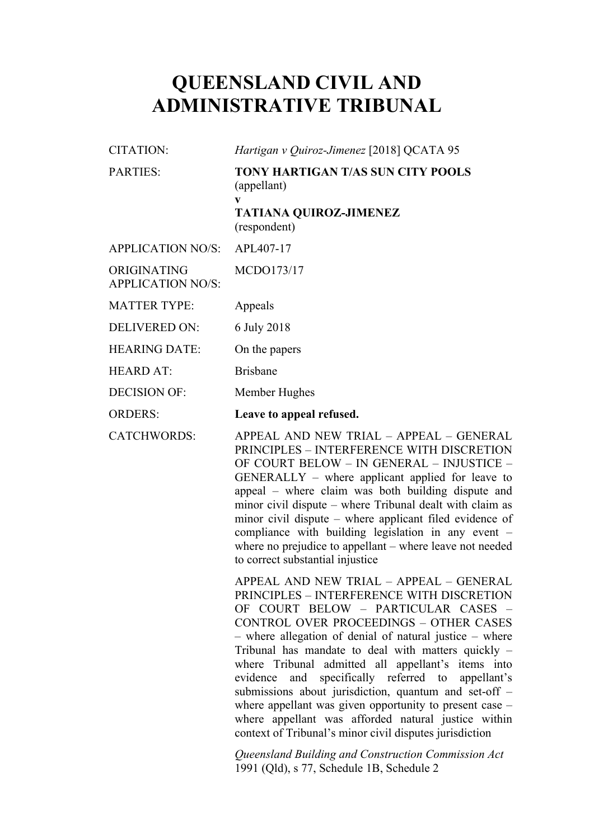# **QUEENSLAND CIVIL AND ADMINISTRATIVE TRIBUNAL**

| CITATION:                               | Hartigan v Quiroz-Jimenez [2018] QCATA 95                                                                     |
|-----------------------------------------|---------------------------------------------------------------------------------------------------------------|
| <b>PARTIES:</b>                         | <b>TONY HARTIGAN T/AS SUN CITY POOLS</b><br>(appellant)<br>V<br><b>TATIANA QUIROZ-JIMENEZ</b><br>(respondent) |
| <b>APPLICATION NO/S:</b>                | APL407-17                                                                                                     |
| ORIGINATING<br><b>APPLICATION NO/S:</b> | MCDO173/17                                                                                                    |
| <b>MATTER TYPE:</b>                     | Appeals                                                                                                       |
| <b>DELIVERED ON:</b>                    | 6 July 2018                                                                                                   |
| <b>HEARING DATE:</b>                    | On the papers                                                                                                 |
| <b>HEARD AT:</b>                        | <b>Brisbane</b>                                                                                               |
| <b>DECISION OF:</b>                     | Member Hughes                                                                                                 |
| <b>ORDERS:</b>                          | Leave to appeal refused.                                                                                      |

CATCHWORDS: APPEAL AND NEW TRIAL – APPEAL – GENERAL PRINCIPLES – INTERFERENCE WITH DISCRETION OF COURT BELOW – IN GENERAL – INJUSTICE – GENERALLY – where applicant applied for leave to appeal – where claim was both building dispute and minor civil dispute – where Tribunal dealt with claim as minor civil dispute – where applicant filed evidence of compliance with building legislation in any event – where no prejudice to appellant – where leave not needed to correct substantial injustice

> APPEAL AND NEW TRIAL – APPEAL – GENERAL PRINCIPLES – INTERFERENCE WITH DISCRETION OF COURT BELOW – PARTICULAR CASES – CONTROL OVER PROCEEDINGS – OTHER CASES – where allegation of denial of natural justice – where Tribunal has mandate to deal with matters quickly – where Tribunal admitted all appellant's items into evidence and specifically referred to appellant's submissions about jurisdiction, quantum and set-off – where appellant was given opportunity to present case – where appellant was afforded natural justice within context of Tribunal's minor civil disputes jurisdiction

*Queensland Building and Construction Commission Act*  1991 (Qld), s 77, Schedule 1B, Schedule 2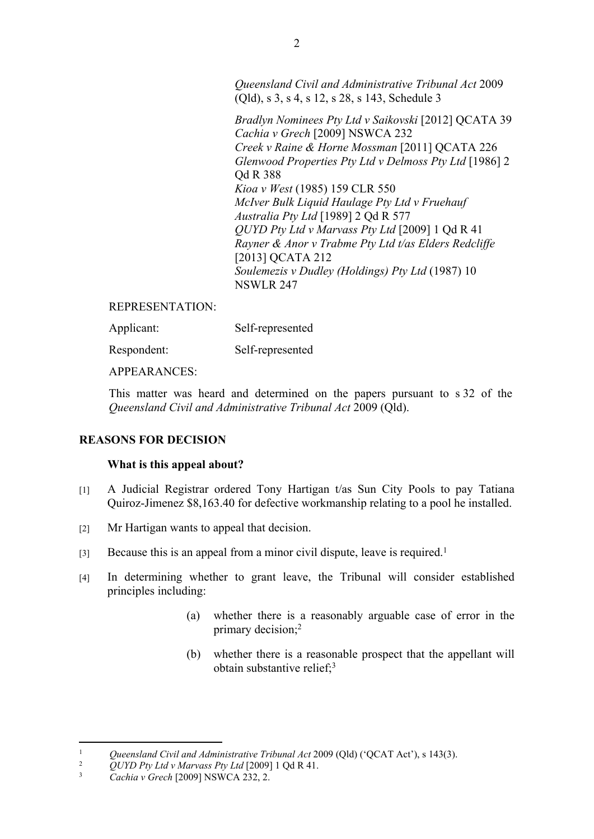*Queensland Civil and Administrative Tribunal Act* 2009 (Qld), s 3, s 4, s 12, s 28, s 143, Schedule 3

*Bradlyn Nominees Pty Ltd v Saikovski* [2012] QCATA 39 *Cachia v Grech* [2009] NSWCA 232 *Creek v Raine & Horne Mossman* [2011] QCATA 226 *Glenwood Properties Pty Ltd v Delmoss Pty Ltd* [1986] 2 Qd R 388 *Kioa v West* (1985) 159 CLR 550 *McIver Bulk Liquid Haulage Pty Ltd v Fruehauf Australia Pty Ltd* [1989] 2 Qd R 577 *QUYD Pty Ltd v Marvass Pty Ltd* [2009] 1 Qd R 41 *Rayner & Anor v Trabme Pty Ltd t/as Elders Redcliffe*  [2013] QCATA 212 *Soulemezis v Dudley (Holdings) Pty Ltd* (1987) 10 NSWLR 247

#### REPRESENTATION:

| Applicant: | Self-represented |
|------------|------------------|
|            |                  |

Respondent: Self-represented

APPEARANCES:

This matter was heard and determined on the papers pursuant to s 32 of the *Queensland Civil and Administrative Tribunal Act* 2009 (Qld).

#### **REASONS FOR DECISION**

#### **What is this appeal about?**

- [1] A Judicial Registrar ordered Tony Hartigan t/as Sun City Pools to pay Tatiana Quiroz-Jimenez \$8,163.40 for defective workmanship relating to a pool he installed.
- [2] Mr Hartigan wants to appeal that decision.
- [3] Because this is an appeal from a minor civil dispute, leave is required.<sup>1</sup>
- [4] In determining whether to grant leave, the Tribunal will consider established principles including:
	- (a) whether there is a reasonably arguable case of error in the primary decision;<sup>2</sup>
	- (b) whether there is a reasonable prospect that the appellant will obtain substantive relief;<sup>3</sup>

<sup>&</sup>lt;sup>1</sup> *Queensland Civil and Administrative Tribunal Act 2009 (Qld) ('QCAT Act'), s 143(3).*<br><sup>2</sup> *QUVD Pp. Ltd.y Maryass Pp. Ltd* [2009] 1 Qd R 41

<sup>&</sup>lt;sup>2</sup> *QUYD Pty Ltd v Marvass Pty Ltd* [2009] 1 Qd R 41.

<sup>3</sup> *Cachia v Grech* [2009] NSWCA 232, 2.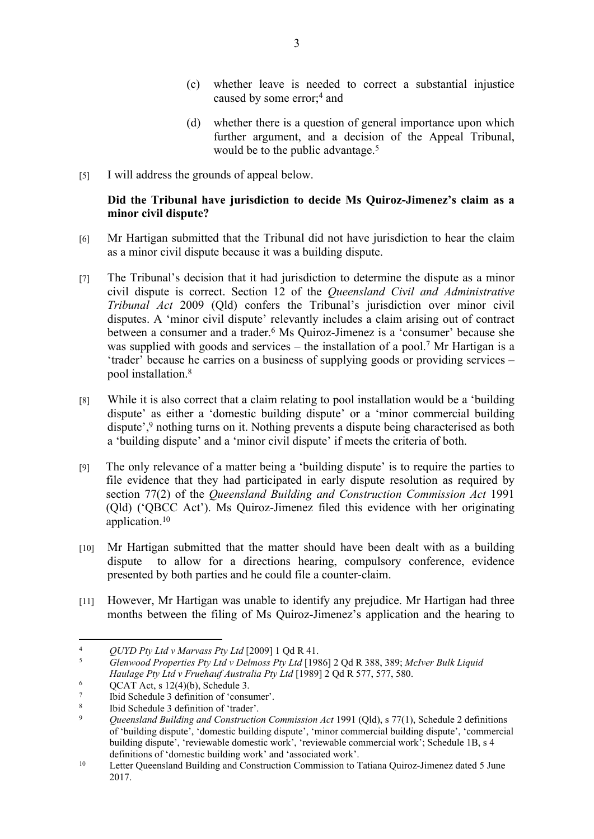- (c) whether leave is needed to correct a substantial injustice caused by some error;<sup>4</sup> and
- (d) whether there is a question of general importance upon which further argument, and a decision of the Appeal Tribunal, would be to the public advantage.<sup>5</sup>
- [5] I will address the grounds of appeal below.

## **Did the Tribunal have jurisdiction to decide Ms Quiroz-Jimenez's claim as a minor civil dispute?**

- [6] Mr Hartigan submitted that the Tribunal did not have jurisdiction to hear the claim as a minor civil dispute because it was a building dispute.
- [7] The Tribunal's decision that it had jurisdiction to determine the dispute as a minor civil dispute is correct. Section 12 of the *Queensland Civil and Administrative Tribunal Act* 2009 (Qld) confers the Tribunal's jurisdiction over minor civil disputes. A 'minor civil dispute' relevantly includes a claim arising out of contract between a consumer and a trader.<sup>6</sup> Ms Quiroz-Jimenez is a 'consumer' because she was supplied with goods and services – the installation of a pool.<sup>7</sup> Mr Hartigan is a 'trader' because he carries on a business of supplying goods or providing services – pool installation.<sup>8</sup>
- [8] While it is also correct that a claim relating to pool installation would be a 'building dispute' as either a 'domestic building dispute' or a 'minor commercial building dispute',<sup>9</sup> nothing turns on it. Nothing prevents a dispute being characterised as both a 'building dispute' and a 'minor civil dispute' if meets the criteria of both.
- [9] The only relevance of a matter being a 'building dispute' is to require the parties to file evidence that they had participated in early dispute resolution as required by section 77(2) of the *Queensland Building and Construction Commission Act* 1991 (Qld) ('QBCC Act'). Ms Quiroz-Jimenez filed this evidence with her originating application.<sup>10</sup>
- [10] Mr Hartigan submitted that the matter should have been dealt with as a building dispute to allow for a directions hearing, compulsory conference, evidence presented by both parties and he could file a counter-claim.
- [11] However, Mr Hartigan was unable to identify any prejudice. Mr Hartigan had three months between the filing of Ms Quiroz-Jimenez's application and the hearing to

<sup>4</sup> *QUYD Pty Ltd v Marvass Pty Ltd* [2009] 1 Qd R 41.

<sup>5</sup> *Glenwood Properties Pty Ltd v Delmoss Pty Ltd* [1986] 2 Qd R 388, 389; *McIver Bulk Liquid Haulage Pty Ltd v Fruehauf Australia Pty Ltd* [1989] 2 Qd R 577, 577, 580.

<sup>6</sup> QCAT Act, s 12(4)(b), Schedule 3.

<sup>7</sup> Ibid Schedule 3 definition of 'consumer'.

<sup>8</sup>  $\frac{8}{100}$  Ibid Schedule 3 definition of 'trader'.

<sup>9</sup> *Queensland Building and Construction Commission Act* 1991 (Qld), s 77(1), Schedule 2 definitions of 'building dispute', 'domestic building dispute', 'minor commercial building dispute', 'commercial building dispute', 'reviewable domestic work', 'reviewable commercial work'; Schedule 1B, s 4 definitions of 'domestic building work' and 'associated work'.

<sup>&</sup>lt;sup>10</sup> Letter Queensland Building and Construction Commission to Tatiana Quiroz-Jimenez dated 5 June 2017.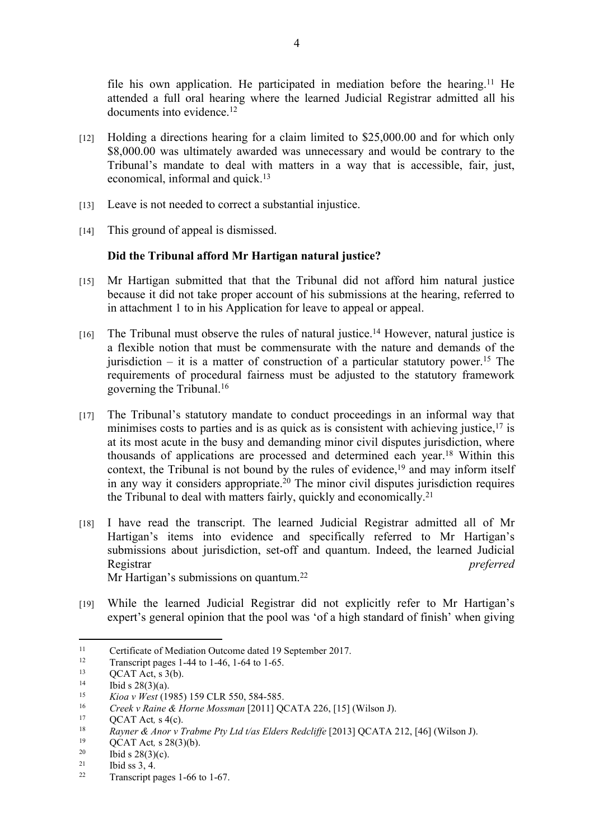file his own application. He participated in mediation before the hearing.<sup>11</sup> He attended a full oral hearing where the learned Judicial Registrar admitted all his documents into evidence.<sup>12</sup>

- $[12]$  Holding a directions hearing for a claim limited to \$25,000,00 and for which only \$8,000.00 was ultimately awarded was unnecessary and would be contrary to the Tribunal's mandate to deal with matters in a way that is accessible, fair, just, economical, informal and quick.<sup>13</sup>
- [13] Leave is not needed to correct a substantial injustice.
- [14] This ground of appeal is dismissed.

### **Did the Tribunal afford Mr Hartigan natural justice?**

- [15] Mr Hartigan submitted that that the Tribunal did not afford him natural justice because it did not take proper account of his submissions at the hearing, referred to in attachment 1 to in his Application for leave to appeal or appeal.
- [16] The Tribunal must observe the rules of natural justice.<sup>14</sup> However, natural justice is a flexible notion that must be commensurate with the nature and demands of the jurisdiction – it is a matter of construction of a particular statutory power.<sup>15</sup> The requirements of procedural fairness must be adjusted to the statutory framework governing the Tribunal.<sup>16</sup>
- [17] The Tribunal's statutory mandate to conduct proceedings in an informal way that minimises costs to parties and is as quick as is consistent with achieving justice,  $17$  is at its most acute in the busy and demanding minor civil disputes jurisdiction, where thousands of applications are processed and determined each year.<sup>18</sup> Within this context, the Tribunal is not bound by the rules of evidence,<sup>19</sup> and may inform itself in any way it considers appropriate.<sup>20</sup> The minor civil disputes jurisdiction requires the Tribunal to deal with matters fairly, quickly and economically.<sup>21</sup>
- [18] I have read the transcript. The learned Judicial Registrar admitted all of Mr Hartigan's items into evidence and specifically referred to Mr Hartigan's submissions about jurisdiction, set-off and quantum. Indeed, the learned Judicial Registrar *preferred*  Mr Hartigan's submissions on quantum.<sup>22</sup>

[19] While the learned Judicial Registrar did not explicitly refer to Mr Hartigan's expert's general opinion that the pool was 'of a high standard of finish' when giving

<sup>&</sup>lt;sup>11</sup> Certificate of Mediation Outcome dated 19 September 2017.<br>Transcriptions of  $\frac{144 \text{ to } 1.46 \times 1.64 \text{ to } 1.65}{200 \text{ ft}}$ 

<sup>12</sup> Transcript pages 1-44 to 1-46, 1-64 to 1-65.

<sup>&</sup>lt;sup>13</sup> QCAT Act, s 3(b).<br><sup>14</sup> Ibid a 28(2)(a)

<sup>&</sup>lt;sup>14</sup> Ibid s 28(3)(a).

<sup>15</sup> *Kioa v West* (1985) 159 CLR 550, 584-585.

<sup>16</sup> *Creek v Raine & Horne Mossman* [2011] QCATA 226, [15] (Wilson J).

<sup>&</sup>lt;sup>17</sup> QCAT Act,  $s$  4(c).

<sup>&</sup>lt;sup>18</sup> Rayner & Anor v Trabme Pty Ltd t/as Elders Redcliffe [2013] QCATA 212, [46] (Wilson J).

<sup>&</sup>lt;sup>19</sup> QCAT Act, s 28(3)(b).<br><sup>20</sup> Ibid a 28(2)(a)

 $\frac{20}{21}$  Ibid s 28(3)(c).

 $21$  Ibid ss 3, 4.

Transcript pages 1-66 to 1-67.